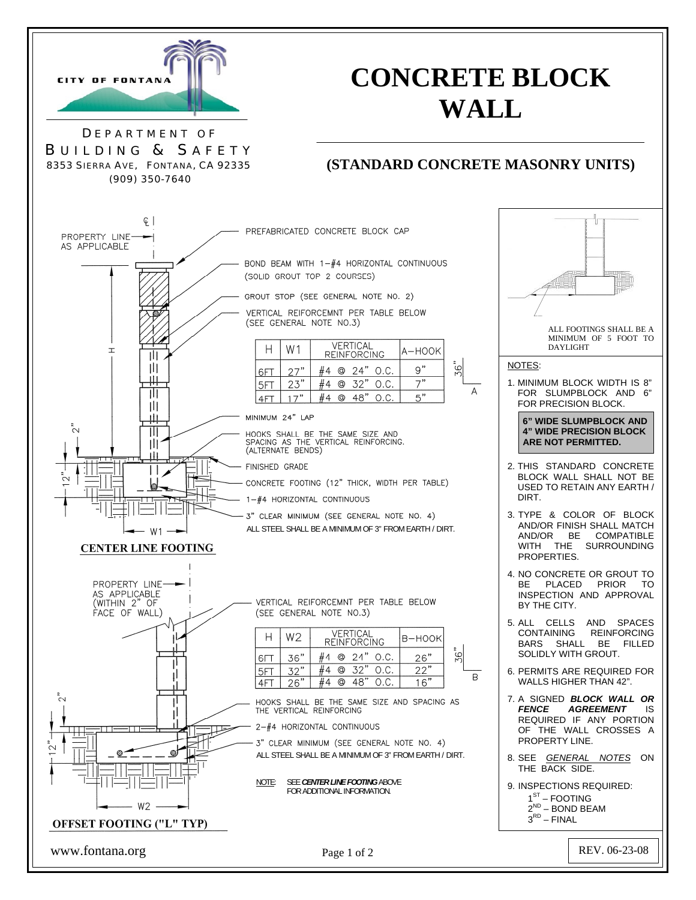

# **CONCRETE BLOCK WALL**

D EPARTMENT O F B UILDING & S AFETY 8353 SIERRA AVE, FONTANA, CA 92335 (909) 350-7640

## **(STANDARD CONCRETE MASONRY UNITS)**

A-HOOK

 $9"$ 

 $7"$ 

 $5"$ 

B-HOOK

 $26"$ 

 $22"$ 

 $16"$ 

 $\frac{8}{5}$ 

 $\mathsf{R}$ 

 $\frac{56}{5}$ 

 $\overline{A}$ 





www.fontana.org Page 1 of 2 REV. 06-23-08

Page 1 of 2